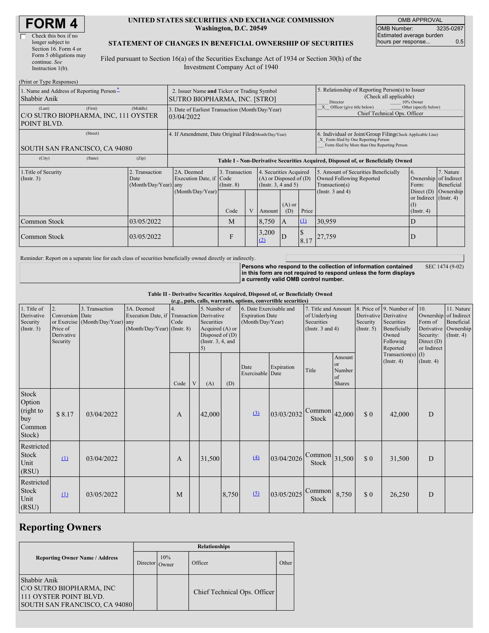| <b>FORM4</b> |  |
|--------------|--|
|--------------|--|

| Check this box if no   |
|------------------------|
| longer subject to      |
| Section 16. Form 4 or  |
| Form 5 obligations may |
| continue. See          |
| Instruction 1(b).      |

#### **UNITED STATES SECURITIES AND EXCHANGE COMMISSION Washington, D.C. 20549**

OMB APPROVAL OMB Number: 3235-0287 Estimated average burden hours per response... 0.5

#### **STATEMENT OF CHANGES IN BENEFICIAL OWNERSHIP OF SECURITIES**

Filed pursuant to Section 16(a) of the Securities Exchange Act of 1934 or Section 30(h) of the Investment Company Act of 1940

| (Print or Type Responses)                                     |         |                                                                             |                                                                                  |                                   |  |                                                                              |                                                                                                                                                    |          |                                                                                                             |                                                      |                                      |  |
|---------------------------------------------------------------|---------|-----------------------------------------------------------------------------|----------------------------------------------------------------------------------|-----------------------------------|--|------------------------------------------------------------------------------|----------------------------------------------------------------------------------------------------------------------------------------------------|----------|-------------------------------------------------------------------------------------------------------------|------------------------------------------------------|--------------------------------------|--|
| 1. Name and Address of Reporting Person-<br>Shabbir Anik      |         | 2. Issuer Name and Ticker or Trading Symbol<br>SUTRO BIOPHARMA, INC. [STRO] |                                                                                  |                                   |  |                                                                              | 5. Relationship of Reporting Person(s) to Issuer<br>(Check all applicable)<br>10% Owner<br>Director                                                |          |                                                                                                             |                                                      |                                      |  |
| (Last)<br>C/O SUTRO BIOPHARMA, INC, 111 OYSTER<br>POINT BLVD. | (First) | (Middle)                                                                    | 3. Date of Earliest Transaction (Month/Day/Year)<br>03/04/2022                   |                                   |  |                                                                              |                                                                                                                                                    |          | Other (specify below)<br>Officer (give title below)<br>Chief Technical Ops. Officer                         |                                                      |                                      |  |
| SOUTH SAN FRANCISCO, CA 94080                                 |         | 4. If Amendment, Date Original Filed Month/Day/Year)                        |                                                                                  |                                   |  |                                                                              | 6. Individual or Joint/Group Filing Check Applicable Line)<br>X Form filed by One Reporting Person<br>Form filed by More than One Reporting Person |          |                                                                                                             |                                                      |                                      |  |
| (City)                                                        | (State) | (Zip)                                                                       | Table I - Non-Derivative Securities Acquired, Disposed of, or Beneficially Owned |                                   |  |                                                                              |                                                                                                                                                    |          |                                                                                                             |                                                      |                                      |  |
| 1. Title of Security<br>(Insert. 3)                           |         | 2. Transaction<br>Date<br>(Month/Day/Year) any                              | 2A. Deemed<br>Execution Date, if Code<br>(Month/Day/Year)                        | 3. Transaction<br>$($ Instr. $8)$ |  | 4. Securities Acquired<br>$(A)$ or Disposed of $(D)$<br>(Insert. 3, 4 and 5) |                                                                                                                                                    |          | 5. Amount of Securities Beneficially<br>Owned Following Reported<br>Transaction(s)<br>(Instr. $3$ and $4$ ) | 6.<br>Ownership of Indirect<br>Form:<br>Direct $(D)$ | 7. Nature<br>Beneficial<br>Ownership |  |
|                                                               |         |                                                                             |                                                                                  | Code                              |  | Amount                                                                       | $(A)$ or<br>(D)                                                                                                                                    | Price    |                                                                                                             | or Indirect (Instr. 4)<br>(1)<br>$($ Instr. 4 $)$    |                                      |  |
| Common Stock                                                  |         | 03/05/2022                                                                  |                                                                                  | M                                 |  | 8,750                                                                        | A                                                                                                                                                  | $\Omega$ | 30,959                                                                                                      | D                                                    |                                      |  |
| Common Stock                                                  |         | 03/05/2022                                                                  |                                                                                  | F                                 |  | 3,200<br>(2)                                                                 | D                                                                                                                                                  | 8.17     | 27,759                                                                                                      | D                                                    |                                      |  |

Reminder: Report on a separate line for each class of securities beneficially owned directly or indirectly.

**Persons who respond to the collection of information contained in this form are not required to respond unless the form displays a currently valid OMB control number.** SEC 1474 (9-02)

**Table II - Derivative Securities Acquired, Disposed of, or Beneficially Owned**

| (e.g., puts, calls, warrants, options, convertible securities) |                                                             |                                                |                                                                                               |      |   |           |                                                                                                                                                                     |                          |            |                                                                             |                                                      |                              |                                                                                                       |                                                                      |                                                                 |
|----------------------------------------------------------------|-------------------------------------------------------------|------------------------------------------------|-----------------------------------------------------------------------------------------------|------|---|-----------|---------------------------------------------------------------------------------------------------------------------------------------------------------------------|--------------------------|------------|-----------------------------------------------------------------------------|------------------------------------------------------|------------------------------|-------------------------------------------------------------------------------------------------------|----------------------------------------------------------------------|-----------------------------------------------------------------|
| 1. Title of<br>Derivative<br>Security<br>(Insert. 3)           | 2.<br>Conversion Date<br>Price of<br>Derivative<br>Security | 3. Transaction<br>or Exercise (Month/Day/Year) | 3A. Deemed<br>Execution Date, if Transaction Derivative<br>any<br>(Month/Day/Year) (Instr. 8) | Code |   |           | 6. Date Exercisable and<br>5. Number of<br><b>Expiration Date</b><br>(Month/Day/Year)<br>Securities<br>Acquired (A) or<br>Disposed of $(D)$<br>(Instr. $3, 4$ , and |                          |            | 7. Title and Amount<br>of Underlying<br>Securities<br>(Instr. $3$ and $4$ ) |                                                      | Security<br>$($ Instr. 5 $)$ | 8. Price of 9. Number of<br>Derivative Derivative<br>Securities<br>Beneficially<br>Owned<br>Following | 10.<br>Ownership of Indirect<br>Form of<br>Security:<br>Direct $(D)$ | 11. Nature<br>Beneficial<br>Derivative Ownership<br>(Insert. 4) |
|                                                                |                                                             |                                                |                                                                                               | Code | V | 5)<br>(A) | (D)                                                                                                                                                                 | Date<br>Exercisable Date | Expiration | Title                                                                       | Amount<br><b>or</b><br>Number<br>of<br><b>Shares</b> |                              | Reported<br>Transaction(s)<br>$($ Instr. 4 $)$                                                        | or Indirect<br>(1)<br>$($ Instr. 4 $)$                               |                                                                 |
| Stock<br>Option<br>(right to<br>buy<br>Common<br>Stock)        | \$8.17                                                      | 03/04/2022                                     |                                                                                               | A    |   | 42,000    |                                                                                                                                                                     | $\left(3\right)$         | 03/03/2032 | $\text{Common}$ 42,000<br>Stock                                             |                                                      | \$0                          | 42,000                                                                                                | D                                                                    |                                                                 |
| Restricted<br>Stock<br>Unit<br>(RSU)                           | $\mathbf{\underline{u}}$                                    | 03/04/2022                                     |                                                                                               | A    |   | 31,500    |                                                                                                                                                                     | $\left(4\right)$         | 03/04/2026 | $\lfloor$ Common $\rfloor$ 31,500<br>Stock                                  |                                                      | \$0                          | 31,500                                                                                                | D                                                                    |                                                                 |
| Restricted<br>Stock<br>Unit<br>(RSU)                           | $\Omega$                                                    | 03/05/2022                                     |                                                                                               | M    |   |           | 8,750                                                                                                                                                               | (5)                      | 03/05/2025 | Common<br>Stock                                                             | 8,750                                                | \$0                          | 26,250                                                                                                | D                                                                    |                                                                 |

## **Reporting Owners**

|                                                                                                     | <b>Relationships</b> |     |                              |       |  |  |  |  |  |
|-----------------------------------------------------------------------------------------------------|----------------------|-----|------------------------------|-------|--|--|--|--|--|
| <b>Reporting Owner Name / Address</b>                                                               | Director Owner       | 10% | Officer                      | Other |  |  |  |  |  |
| Shabbir Anik<br>C/O SUTRO BIOPHARMA, INC<br>111 OYSTER POINT BLVD.<br>SOUTH SAN FRANCISCO, CA 94080 |                      |     | Chief Technical Ops. Officer |       |  |  |  |  |  |